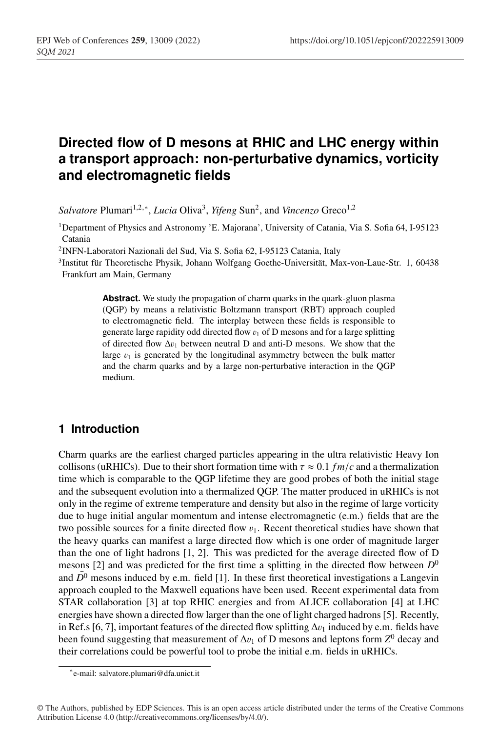# **Directed flow of D mesons at RHIC and LHC energy within a transport approach: non-perturbative dynamics, vorticity and electromagnetic fields**

*Salvatore* Plumari<sup>1,2,∗</sup>, *Lucia* Oliva<sup>3</sup>, *Yifeng* Sun<sup>2</sup>, and *Vincenzo* Greco<sup>1,2</sup>

1Department of Physics and Astronomy 'E. Majorana', University of Catania, Via S. Sofia 64, I-95123 Catania

2INFN-Laboratori Nazionali del Sud, Via S. Sofia 62, I-95123 Catania, Italy

3Institut für Theoretische Physik, Johann Wolfgang Goethe-Universität, Max-von-Laue-Str. 1, 60438 Frankfurt am Main, Germany

> **Abstract.** We study the propagation of charm quarks in the quark-gluon plasma (QGP) by means a relativistic Boltzmann transport (RBT) approach coupled to electromagnetic field. The interplay between these fields is responsible to generate large rapidity odd directed flow  $v_1$  of D mesons and for a large splitting of directed flow  $\Delta v_1$  between neutral D and anti-D mesons. We show that the large  $v_1$  is generated by the longitudinal asymmetry between the bulk matter and the charm quarks and by a large non-perturbative interaction in the QGP medium.

# **1 Introduction**

Charm quarks are the earliest charged particles appearing in the ultra relativistic Heavy Ion collisons (uRHICs). Due to their short formation time with  $\tau \approx 0.1$  *fm*/*c* and a thermalization time which is comparable to the QGP lifetime they are good probes of both the initial stage and the subsequent evolution into a thermalized QGP. The matter produced in uRHICs is not only in the regime of extreme temperature and density but also in the regime of large vorticity due to huge initial angular momentum and intense electromagnetic (e.m.) fields that are the two possible sources for a finite directed flow  $v_1$ . Recent theoretical studies have shown that the heavy quarks can manifest a large directed flow which is one order of magnitude larger than the one of light hadrons [1, 2]. This was predicted for the average directed flow of D mesons [2] and was predicted for the first time a splitting in the directed flow between  $D^0$ and  $D^0$  mesons induced by e.m. field [1]. In these first theoretical investigations a Langevin approach coupled to the Maxwell equations have been used. Recent experimental data from STAR collaboration [3] at top RHIC energies and from ALICE collaboration [4] at LHC energies have shown a directed flow larger than the one of light charged hadrons [5]. Recently, in Ref.s [6, 7], important features of the directed flow splitting  $\Delta v_1$  induced by e.m. fields have been found suggesting that measurement of  $\Delta v_1$  of D mesons and leptons form  $Z^0$  decay and their correlations could be powerful tool to probe the initial e.m. fields in uRHICs.

<sup>∗</sup>e-mail: salvatore.plumari@dfa.unict.it

<sup>©</sup> The Authors, published by EDP Sciences. This is an open access article distributed under the terms of the Creative Commons Attribution License 4.0 (http://creativecommons.org/licenses/by/4.0/).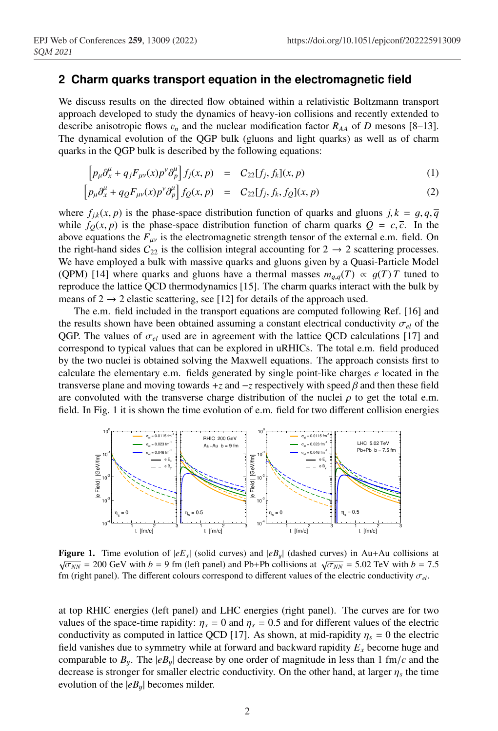#### **2 Charm quarks transport equation in the electromagnetic field**

We discuss results on the directed flow obtained within a relativistic Boltzmann transport approach developed to study the dynamics of heavy-ion collisions and recently extended to describe anisotropic flows  $v_n$  and the nuclear modification factor  $R_{AA}$  of *D* mesons [8–13]. The dynamical evolution of the QGP bulk (gluons and light quarks) as well as of charm quarks in the QGP bulk is described by the following equations:

$$
\left[p_{\mu}\partial_{x}^{\mu} + q_{j}F_{\mu\nu}(x)p^{\nu}\partial_{p}^{\mu}\right]f_{j}(x,p) = C_{22}[f_{j},f_{k}](x,p) \tag{1}
$$

$$
\left[ p_{\mu} \partial_x^{\mu} + q_Q F_{\mu\nu}(x) p^{\nu} \partial_p^{\mu} \right] f_Q(x, p) = C_{22} [f_j, f_k, f_Q](x, p) \tag{2}
$$

where  $f_{ik}(x, p)$  is the phase-space distribution function of quarks and gluons  $j, k = g, q, \overline{q}$ while  $f<sub>O</sub>(x, p)$  is the phase-space distribution function of charm quarks  $Q = c, \bar{c}$ . In the above equations the  $F_{\mu\nu}$  is the electromagnetic strength tensor of the external e.m. field. On the right-hand sides  $C_{22}$  is the collision integral accounting for  $2 \rightarrow 2$  scattering processes. We have employed a bulk with massive quarks and gluons given by a Quasi-Particle Model (QPM) [14] where quarks and gluons have a thermal masses  $m_{q,q}(T) \propto q(T)T$  tuned to reproduce the lattice QCD thermodynamics [15]. The charm quarks interact with the bulk by means of  $2 \rightarrow 2$  elastic scattering, see [12] for details of the approach used.

The e.m. field included in the transport equations are computed following Ref. [16] and the results shown have been obtained assuming a constant electrical conductivity  $\sigma_{el}$  of the QGP. The values of  $\sigma_{el}$  used are in agreement with the lattice QCD calculations [17] and correspond to typical values that can be explored in uRHICs. The total e.m. field produced by the two nuclei is obtained solving the Maxwell equations. The approach consists first to calculate the elementary e.m. fields generated by single point-like charges *e* located in the transverse plane and moving towards  $+z$  and  $-z$  respectively with speed  $\beta$  and then these field are convoluted with the transverse charge distribution of the nuclei  $\rho$  to get the total e.m. field. In Fig. 1 it is shown the time evolution of e.m. field for two different collision energies



**Figure 1.** Time evolution of  $|eE_x|$  (solid curves) and  $|eB_y|$  (dashed curves) in Au+Au collisions at  $\sqrt{\sigma_{NN}}$  = 200 GeV with *b* = 9 fm (left panel) and Pb+Pb collisions at  $\sqrt{\sigma_{NN}}$  = 5.02 TeV with *b* = 7.5 fm (right panel). The different colours correspond to different values of the electric conductivity  $\sigma_{el}$ .

at top RHIC energies (left panel) and LHC energies (right panel). The curves are for two values of the space-time rapidity:  $\eta_s = 0$  and  $\eta_s = 0.5$  and for different values of the electric conductivity as computed in lattice QCD [17]. As shown, at mid-rapidity  $\eta_s = 0$  the electric field vanishes due to symmetry while at forward and backward rapidity  $E_x$  become huge and comparable to  $B_y$ . The  $|eB_y|$  decrease by one order of magnitude in less than 1 fm/*c* and the decrease is stronger for smaller electric conductivity. On the other hand, at larger  $\eta_s$  the time evolution of the  $|eB_u|$  becomes milder.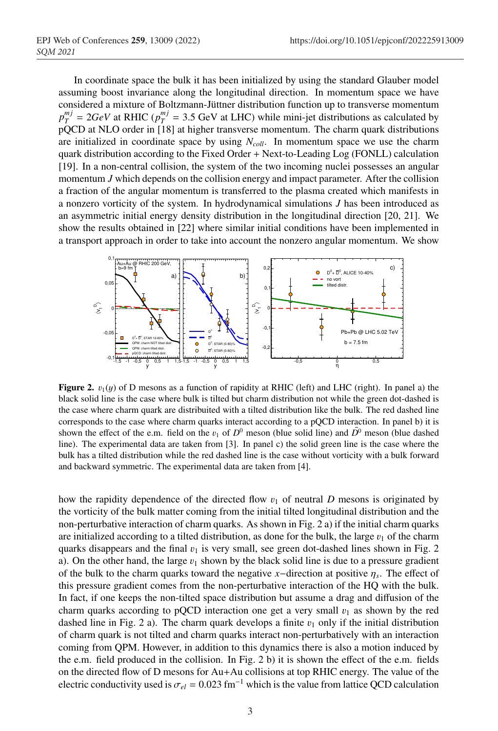In coordinate space the bulk it has been initialized by using the standard Glauber model assuming boost invariance along the longitudinal direction. In momentum space we have considered a mixture of Boltzmann-Jüttner distribution function up to transverse momentum  $p_T^{mj} = 2GeV$  at RHIC ( $p_T^{mj} = 3.5$  GeV at LHC) while mini-jet distributions as calculated by pQCD at NLO order in [18] at higher transverse momentum. The charm quark distributions are initialized in coordinate space by using  $N_{coll}$ . In momentum space we use the charm quark distribution according to the Fixed Order + Next-to-Leading Log (FONLL) calculation [19]. In a non-central collision, the system of the two incoming nuclei possesses an angular momentum *J* which depends on the collision energy and impact parameter. After the collision a fraction of the angular momentum is transferred to the plasma created which manifests in a nonzero vorticity of the system. In hydrodynamical simulations *J* has been introduced as an asymmetric initial energy density distribution in the longitudinal direction [20, 21]. We show the results obtained in [22] where similar initial conditions have been implemented in a transport approach in order to take into account the nonzero angular momentum. We show



**Figure 2.**  $v_1(y)$  of D mesons as a function of rapidity at RHIC (left) and LHC (right). In panel a) the black solid line is the case where bulk is tilted but charm distribution not while the green dot-dashed is the case where charm quark are distribuited with a tilted distribution like the bulk. The red dashed line corresponds to the case where charm quarks interact according to a pQCD interaction. In panel b) it is shown the effect of the e.m. field on the  $v_1$  of  $D^0$  meson (blue solid line) and  $\overline{D}{}^0$  meson (blue dashed line). The experimental data are taken from [3]. In panel c) the solid green line is the case where the bulk has a tilted distribution while the red dashed line is the case without vorticity with a bulk forward and backward symmetric. The experimental data are taken from [4].

how the rapidity dependence of the directed flow  $v_1$  of neutral *D* mesons is originated by the vorticity of the bulk matter coming from the initial tilted longitudinal distribution and the non-perturbative interaction of charm quarks. As shown in Fig. 2 a) if the initial charm quarks are initialized according to a tilted distribution, as done for the bulk, the large  $v_1$  of the charm quarks disappears and the final  $v_1$  is very small, see green dot-dashed lines shown in Fig. 2 a). On the other hand, the large  $v_1$  shown by the black solid line is due to a pressure gradient of the bulk to the charm quarks toward the negative *x*−direction at positive  $\eta_s$ . The effect of this pressure gradient comes from the non-perturbative interaction of the HQ with the bulk. In fact, if one keeps the non-tilted space distribution but assume a drag and diffusion of the charm quarks according to pQCD interaction one get a very small  $v_1$  as shown by the red dashed line in Fig. 2 a). The charm quark develops a finite  $v_1$  only if the initial distribution of charm quark is not tilted and charm quarks interact non-perturbatively with an interaction coming from QPM. However, in addition to this dynamics there is also a motion induced by the e.m. field produced in the collision. In Fig. 2 b) it is shown the effect of the e.m. fields on the directed flow of D mesons for Au+Au collisions at top RHIC energy. The value of the electric conductivity used is  $\sigma_{el} = 0.023$  fm<sup>-1</sup> which is the value from lattice QCD calculation